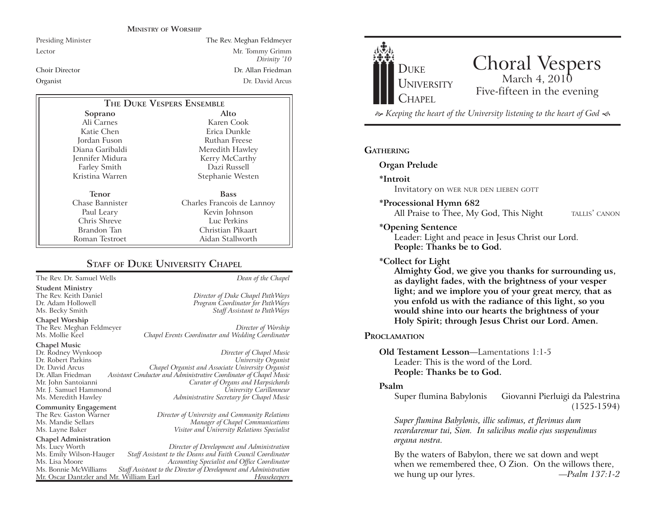#### **MINISTRY OF WORSHIP**

Presiding Minister The Rev. Meghan Feldmeyer Lector Mr. Tommy Grimm *Divinity '10* Choir Director Dr. Allan FriedmanOrganist Dr. David Arcus

| THE DUKE VESPERS ENSEMBLE |                            |
|---------------------------|----------------------------|
| Soprano                   | Alto                       |
| Ali Carnes                | Karen Cook                 |
| Katie Chen                | Erica Dunkle               |
| Jordan Fuson              | Ruthan Freese              |
| Diana Garibaldi           | Meredith Hawley            |
| Jennifer Midura           | Kerry McCarthy             |
| <b>Farley Smith</b>       | Dazi Russell               |
| Kristina Warren           | Stephanie Westen           |
| Tenor                     | <b>Bass</b>                |
| Chase Bannister           | Charles Francois de Lannoy |
|                           |                            |
| Paul Leary                | Kevin Johnson              |
| Chris Shreve              | Luc Perkins                |
| Brandon Tan               | Christian Pikaart          |
| Roman Testroet            | Aidan Stallworth           |

#### **STAFF OF DUKE UNIVERSITY CHAPEL**

The Rev. Dr. Samuel Wells *Dean of the Chapel*

**Student Ministry** The Rev. Keith Daniel *Director of Duke Chapel PathWays*

**Chapel Worship**

The Rev. Meghan Feldmeyer *Director of Worship*

# **Chapel Music** Mr. J. Samuel Hammond

**Community Engagement**<br>The Rev. Gaston Warner

### **Chapel Administration**

Mr. Oscar Dantzler and Mr. William Earl

Program Coordinator for PathWays Ms. Becky Smith *Staff Assistant to PathWays*

Chapel Events Coordinator and Wedding Coordinator

Dr. Rodney Wynkoop *Director of Chapel Music* Dr. Robert Parkins *University Organist* Dr. David Arcus *Chapel Organist and Associate University Organist* Dr. Allan Friedman *Assistant Conductor and Administrative Coordinator of Chapel Music* Mr. John Santoianni *Curator of Organs and Harpsichords* Ms. Meredith Hawley *Administrative Secretary for Chapel Music*

The Rev. Gaston Warner *Director of University and Community Relations* Ms. Mandie Sellars *Manager of Chapel Communications* Ms. Layne Baker *Visitor and University Relations Specialist*

Ms. Lucy Worth *Director of Development and Administration* Ms. Emily Wilson-Hauger *Staff Assistant to the Deans and Faith Council Coordinator* Ms. Lisa Moore *Accounting Specialist and Office Coordinator* Staff Assistant to the Director of Development and Administration<br>*r*. William Earl *Housekeepers* 



## Choral Vespers Five-fifteen in the evening

 *Keeping the heart of the University listening to the heart of God* 

#### **GATHERING**

**Organ Prelude**

**\*Introit** 

Invitatory on WER NUR DEN LIEBEN GOTT

**\*Processional Hymn 682**

All Praise to Thee, My God, This Night TALLIS' CANON

#### **\*Opening Sentence**

Leader: Light and peace in Jesus Christ our Lord. **People: Thanks be to God.**

#### **\*Collect for Light**

**Almighty God, we give you thanks for surrounding us, as daylight fades, with the brightness of your vesper light; and we implore you of your great mercy, that as you enfold us with the radiance of this light, so you would shine into our hearts the brightness of your Holy Spirit; through Jesus Christ our Lord. Amen.** 

#### **PROCLAMATION**

#### **Old Testament Lesson**—Lamentations 1:1-5Leader: This is the word of the Lord.**People: Thanks be to God.**

#### **Psalm**

Super flumina Babylonis Giovanni Pierluigi da Palestrina (1525-1594)

*Super flumina Babylonis, illic sedimus, et flevimus dum recordaremur tui, Sion. In salicibus medio ejus suspendimus organa nostra.*

By the waters of Babylon, there we sat down and wept when we remembered thee, O Zion. On the willows there, we hung up our lyres. *—Psalm 137:1-2*